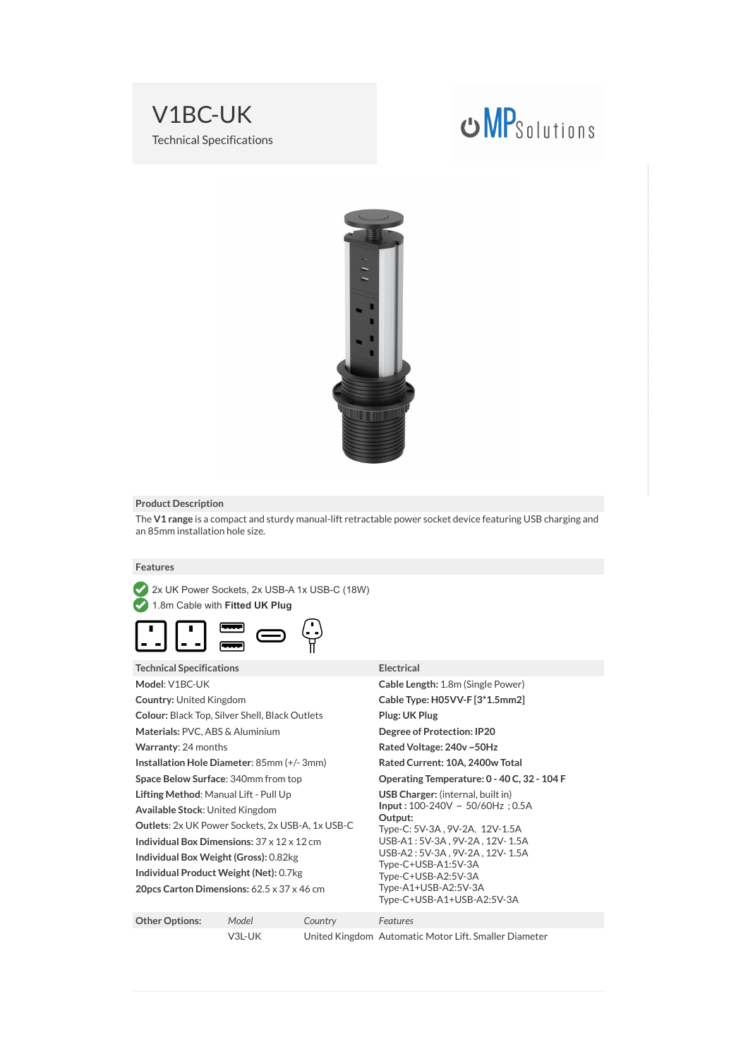

# **UMP**Solutions



# **Product Description**

The **V1 range** is a compact and sturdy manual-lift retractable power socket device featuring USB charging and an 85mm installation hole size.

 $Electrical$ 

# **Features**

2x UK Power Sockets, 2x USB-A 1x USB-C (18W)

1.8m Cable with **Fitted UK Plug**



| Technical Specifications                                |
|---------------------------------------------------------|
| Model: V1BC-UK                                          |
| <b>Country: United Kingdom</b>                          |
| Colour: Black Top, Silver Shell, Black Outlets          |
| Materials: PVC, ABS & Aluminium                         |
| <b>Warranty: 24 months</b>                              |
| Installation Hole Diameter: 85mm (+/-3mm)               |
| <b>Space Below Surface:</b> 340mm from top              |
| Lifting Method: Manual Lift - Pull Up                   |
| Available Stock: United Kingdom                         |
| <b>Outlets:</b> 2x UK Power Sockets, 2x USB-A, 1x USB-C |
| Individual Box Dimensions: $37 \times 12 \times 12$ cm  |
| Individual Box Weight (Gross): 0.82kg                   |
| Individual Product Weight (Net): 0.7kg                  |
| 20pcs Carton Dimensions: 62.5 x 37 x 46 cm              |

# **Cable Length: 1.8m (Single Power) Country:** United Kingdom **Cable Type: H05VV-F [3\*1.5mm2]**  $Plus: UK Plug$ **Degree of Protection: IP20 Rated Voltage: 240v ~50Hz Rated Current: 10A, 2400w Total Operating Temperature: 0 - 40 C, 32 - 104 F LISB Charger:** (internal, built in) **Input :** 100-240V ~ 50/60Hz ; 0.5A **Output:**  Type-C: 5V-3A , 9V-2A,12V-1.5A USB-A1 : 5V-3A , 9V-2A , 12V- 1.5A USB-A2 : 5V-3A , 9V-2A , 12V- 1.5A Type-C+USB-A1:5V-3A Type-C+USB-A2:5V-3A Type-A1+USB-A2:5V-3A Type-C+USB-A1+USB-A2:5V-3A

| <b>Other Options:</b> | Model  | Country | <b>Features</b>                                       |
|-----------------------|--------|---------|-------------------------------------------------------|
|                       | V3L-UK |         | United Kingdom Automatic Motor Lift. Smaller Diameter |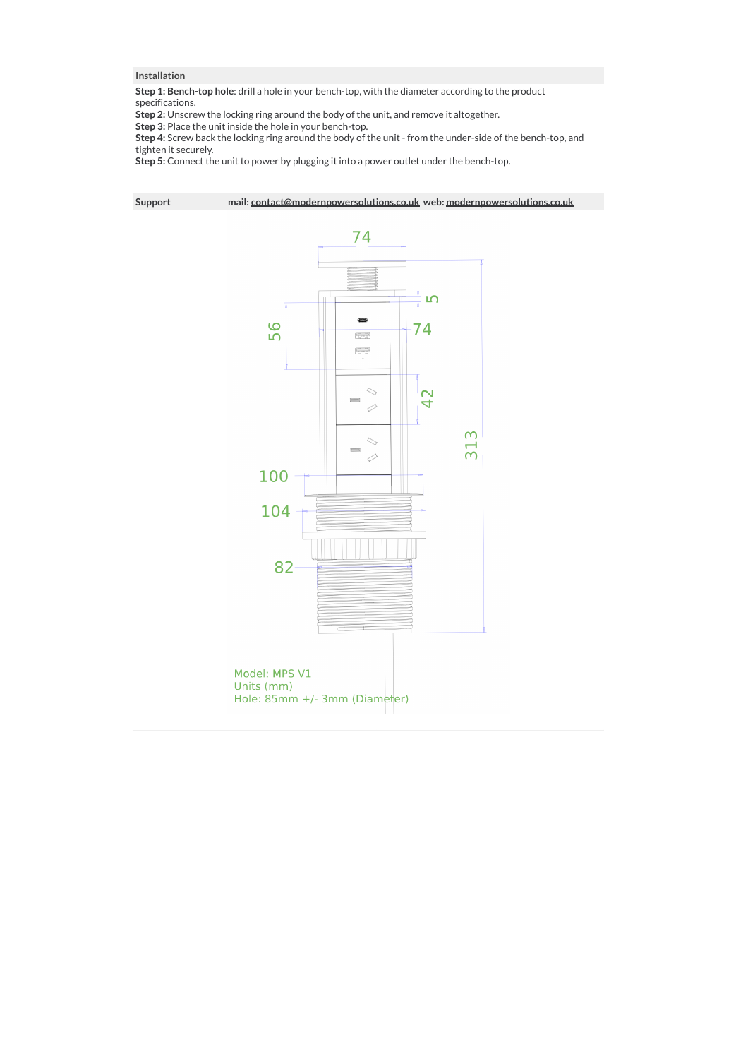# **Installation**

**Step 1: Bench-top hole**: drill a hole in your bench-top, with the diameter according to the product specifications.

**Step 2:** Unscrew the locking ring around the body of the unit, and remove it altogether.

**Step 3:** Place the unit inside the hole in your bench-top.

**Step 4:** Screw back the locking ring around the body of the unit - from the under-side of the bench-top, and tighten it securely.

**Step 5:** Connect the unit to power by plugging it into a power outlet under the bench-top.

**Support mail: contact@modernpowersolutions.co.uk web: modernpowersolutions.co.uk**